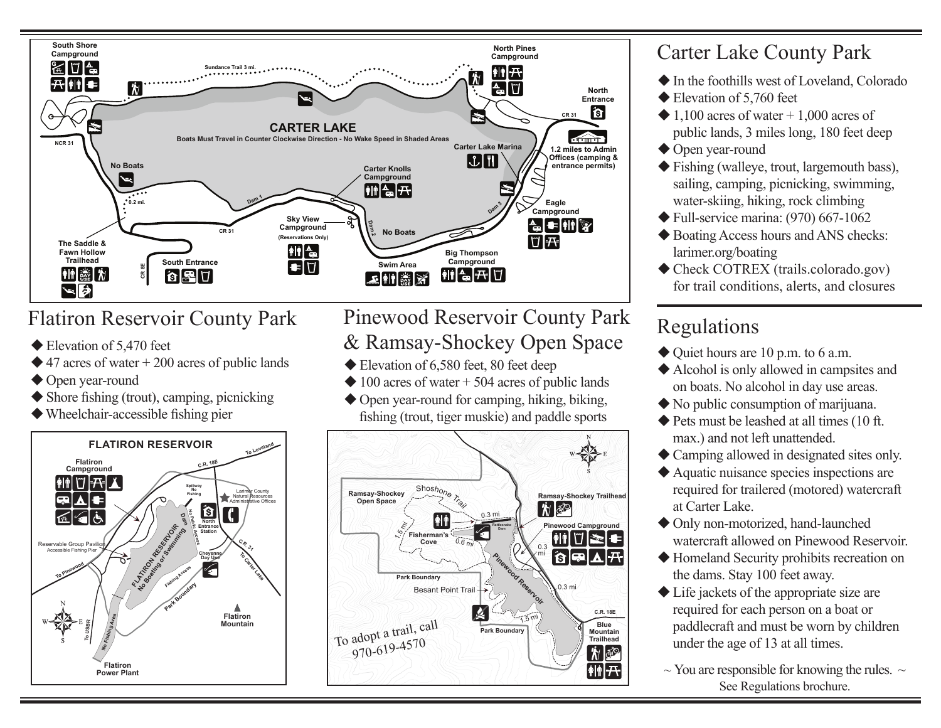

### Flatiron Reservoir County Park

- ◆ Elevation of 5,470 feet
- $\triangle$  47 acres of water + 200 acres of public lands
- $\blacklozenge$  Open year-round **Larimer County Natural Resources**
- $\blacklozenge$  Shore fishing (trout), camping, picnicking
- $\blacklozenge$  Wheelchair-accessible fishing pier



#### **Pinewood Reservoir County Park**  $\&$  Ramsay-Shockey Open Space **Climbing Day Use Swimming Restroom LEGEND**  $\alpha$  **Huillou Water Electrical Hookups Food Service**

- 
- $\triangle$  100 acres of water + 504 acres of public lands
- $\blacklozenge$  Open year-round for camping, hiking, biking, fishing (trout, tiger muskie) and paddle sports



#### Carter Lake County Park

- $\blacklozenge$  In the foothills west of Loveland, Colorado
- $\blacklozenge$  Elevation of 5,760 feet
- $\triangle$  1,100 acres of water + 1,000 acres of public lands, 3 miles long, 180 feet deep
- $\blacklozenge$  Open year-round
- $\blacklozenge$  Fishing (walleye, trout, largemouth bass), sailing, camping, picnicking, swimming, water-skiing, hiking, rock climbing
- $\blacktriangleright$  Full-service marina: (970) 667-1062
- $\blacklozenge$  Boating Access hours and ANS checks: larimer.org/boating
- $\triangle$  Check COTREX (trails.colorado.gov) for trail conditions, alerts, and closures

#### Regulations

- $\blacklozenge$  Quiet hours are 10 p.m. to 6 a.m.
- $\blacklozenge$  Alcohol is only allowed in campsites and on boats. No alcohol in day use areas.
- $\blacklozenge$  No public consumption of marijuana.
- $\blacklozenge$  Pets must be leashed at all times (10 ft. max.) and not left unattended.
- $\triangle$  Camping allowed in designated sites only.
- $\blacklozenge$  Aquatic nuisance species inspections are required for trailered (motored) watercraft at Carter Lake.
- $\blacklozenge$  Only non-motorized, hand-launched watercraft allowed on Pinewood Reservoir.
- $\blacklozenge$  Homeland Security prohibits recreation on the dams. Stay 100 feet away.
- $\blacklozenge$  Life jackets of the appropriate size are required for each person on a boat or paddlecraft and must be worn by children under the age of 13 at all times.
- $\sim$  You are responsible for knowing the rules.  $\sim$ See Regulations brochure.